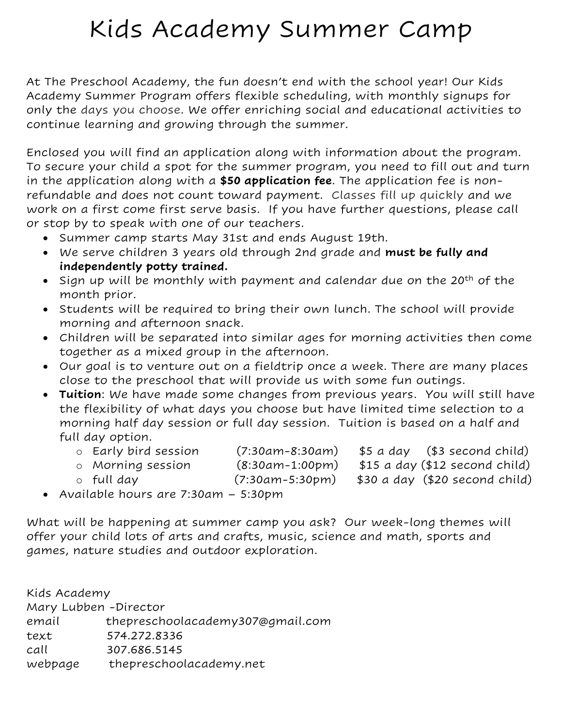## Kids Academy Summer Camp

At The Preschool Academy, the fun doesn't end with the school year! Our Kids Academy Summer Program offers flexible scheduling, with monthly signups for only the days you choose. We offer enriching social and educational activities to continue learning and growing through the summer.

Enclosed you will find an application along with information about the program. To secure your child a spot for the summer program, you need to fill out and turn in the application along with a **\$50 application fee**. The application fee is nonrefundable and does not count toward payment. Classes fill up quickly and we work on a first come first serve basis. If you have further questions, please call or stop by to speak with one of our teachers.

- Summer camp starts May 31st and ends August 19th.
- We serve children 3 years old through 2nd grade and **must be fully and independently potty trained.**
- $\bullet$  Sign up will be monthly with payment and calendar due on the 20<sup>th</sup> of the month prior.
- Students will be required to bring their own lunch. The school will provide morning and afternoon snack.
- Children will be separated into similar ages for morning activities then come together as a mixed group in the afternoon.
- Our goal is to venture out on a fieldtrip once a week. There are many places close to the preschool that will provide us with some fun outings.
- **Tuition**: We have made some changes from previous years. You will still have the flexibility of what days you choose but have limited time selection to a morning half day session or full day session. Tuition is based on a half and full day option.
	- o Early bird session (7:30am-8:30am) \$5 a day (\$3 second child)
	- o Morning session (8:30am-1:00pm) \$15 a day (\$12 second child)
	- o full day (7:30am-5:30pm) \$30 a day (\$20 second child)
- -
- Available hours are 7:30am 5:30pm

What will be happening at summer camp you ask? Our week-long themes will offer your child lots of arts and crafts, music, science and math, sports and games, nature studies and outdoor exploration.

Kids Academy Mary Lubben -Director email thepreschoolacademy307@gmail.com text 574.272.8336 call 307.686.5145 webpage thepreschoolacademy.net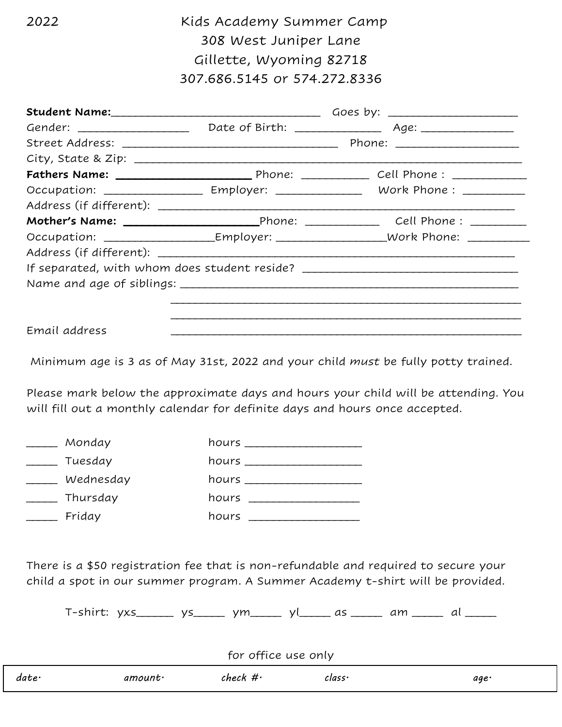2022 Kids Academy Summer Camp 308 West Juniper Lane Gillette, Wyoming 82718 307.686.5145 or 574.272.8336

|               | Student Name: <u>Contained and Contained and Contained and Contained and Contained and Contained and Contained and Contained and Contained and Contained and Contained and Contained and Contained and Contained and Contained a</u> |                                                                                               |  |
|---------------|--------------------------------------------------------------------------------------------------------------------------------------------------------------------------------------------------------------------------------------|-----------------------------------------------------------------------------------------------|--|
|               |                                                                                                                                                                                                                                      |                                                                                               |  |
|               |                                                                                                                                                                                                                                      |                                                                                               |  |
|               |                                                                                                                                                                                                                                      |                                                                                               |  |
|               |                                                                                                                                                                                                                                      |                                                                                               |  |
|               |                                                                                                                                                                                                                                      | Occupation: ____________________ Employer: __________________ Work Phone : __________         |  |
|               |                                                                                                                                                                                                                                      |                                                                                               |  |
|               |                                                                                                                                                                                                                                      |                                                                                               |  |
|               |                                                                                                                                                                                                                                      | Occupation: _________________________Employer: ______________________Work Phone: ____________ |  |
|               |                                                                                                                                                                                                                                      |                                                                                               |  |
|               |                                                                                                                                                                                                                                      | If separated, with whom does student reside? ___________________________________              |  |
|               |                                                                                                                                                                                                                                      |                                                                                               |  |
|               |                                                                                                                                                                                                                                      |                                                                                               |  |
|               |                                                                                                                                                                                                                                      |                                                                                               |  |
| Email address |                                                                                                                                                                                                                                      |                                                                                               |  |

Minimum age is 3 as of May 31st, 2022 and your child *must* be fully potty trained.

Please mark below the approximate days and hours your child will be attending. You will fill out a monthly calendar for definite days and hours once accepted.

| Monday    | hours ___________________ |
|-----------|---------------------------|
| Tuesday   | hours __________________  |
| Wednesday | hours ______________      |
| Thursday  | hours __________________  |
| Friday    | hours _____________       |
|           |                           |

There is a \$50 registration fee that is non-refundable and required to secure your child a spot in our summer program. A Summer Academy t-shirt will be provided.

T-shirt: yxs\_\_\_\_\_\_ ys\_\_\_\_\_ ym\_\_\_\_\_ yl\_\_\_\_\_ as \_\_\_\_\_ am \_\_\_\_\_ al \_\_\_\_\_

| for office use only |                |            |        |      |  |  |
|---------------------|----------------|------------|--------|------|--|--|
| date·               | $amount \cdot$ | check $\#$ | class· | age· |  |  |